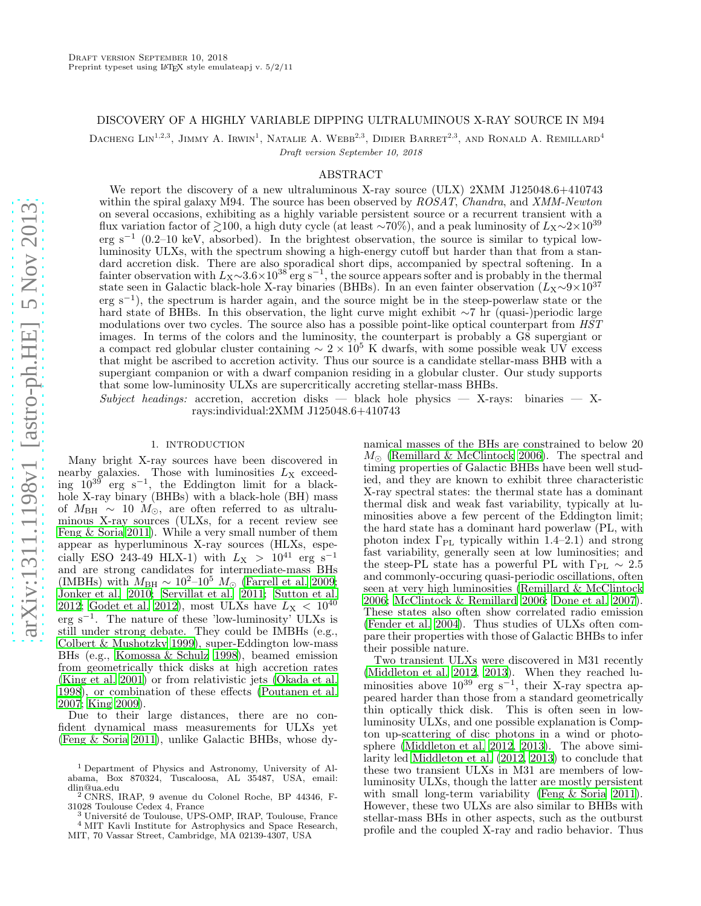# DISCOVERY OF A HIGHLY VARIABLE DIPPING ULTRALUMINOUS X-RAY SOURCE IN M94

DACHENG LIN<sup>1,2,3</sup>, JIMMY A. IRWIN<sup>1</sup>, NATALIE A. WEBB<sup>2,3</sup>, DIDIER BARRET<sup>2,3</sup>, AND RONALD A. REMILLARD<sup>4</sup>

Draft version September 10, 2018

# ABSTRACT

We report the discovery of a new ultraluminous X-ray source (ULX) 2XMM J125048.6+410743 within the spiral galaxy M94. The source has been observed by ROSAT, Chandra, and XMM-Newton on several occasions, exhibiting as a highly variable persistent source or a recurrent transient with a flux variation factor of  $\gtrsim$ 100, a high duty cycle (at least ∼70%), and a peak luminosity of  $L_X \sim 2 \times 10^{39}$ erg s<sup>-1</sup> (0.2–10 keV, absorbed). In the brightest observation, the source is similar to typical lowluminosity ULXs, with the spectrum showing a high-energy cutoff but harder than that from a standard accretion disk. There are also sporadical short dips, accompanied by spectral softening. In a fainter observation with  $L_X \sim 3.6 \times 10^{38}$  erg s<sup>-1</sup>, the source appears softer and is probably in the thermal state seen in Galactic black-hole X-ray binaries (BHBs). In an even fainter observation  $(L_X \sim 9 \times 10^{37}$ erg s−<sup>1</sup> ), the spectrum is harder again, and the source might be in the steep-powerlaw state or the hard state of BHBs. In this observation, the light curve might exhibit ∼7 hr (quasi-)periodic large modulations over two cycles. The source also has a possible point-like optical counterpart from  $HST$ images. In terms of the colors and the luminosity, the counterpart is probably a G8 supergiant or a compact red globular cluster containing  $\sim 2 \times 10^5$  K dwarfs, with some possible weak UV excess that might be ascribed to accretion activity. Thus our source is a candidate stellar-mass BHB with a supergiant companion or with a dwarf companion residing in a globular cluster. Our study supports that some low-luminosity ULXs are supercritically accreting stellar-mass BHBs.

Subject headings: accretion, accretion disks — black hole physics — X-rays: binaries — Xrays:individual:2XMM J125048.6+410743

### 1. INTRODUCTION

Many bright X-ray sources have been discovered in nearby galaxies. Those with luminosities  $L_X$  exceeding  $10^{39}$  erg s<sup>-1</sup>, the Eddington limit for a blackhole X-ray binary (BHBs) with a black-hole (BH) mass of  $M_{\text{BH}} \sim 10 M_{\odot}$ , are often referred to as ultraluminous X-ray sources (ULXs, for a recent review see [Feng & Soria 2011\)](#page-8-0). While a very small number of them appear as hyperluminous X-ray sources (HLXs, especially ESO 243-49 HLX-1) with  $L_X > 10^{41}$  erg s<sup>-1</sup> and are strong candidates for intermediate-mass BHs (IMBHs) with  $M_{\text{BH}} \sim 10^{2}$ – $10^{5}$   $M_{\odot}$  [\(Farrell et al. 2009;](#page-8-1) [Jonker et al. 2010](#page-8-2); [Servillat et al. 2011;](#page-8-3) [Sutton et al.](#page-8-4) [2012;](#page-8-4) [Godet et al. 2012\)](#page-8-5), most ULXs have  $L_X < 10^{40}$ erg s<sup>−</sup><sup>1</sup> . The nature of these 'low-luminosity' ULXs is still under strong debate. They could be IMBHs (e.g., [Colbert & Mushotzky 1999\)](#page-8-6), super-Eddington low-mass BHs (e.g., [Komossa & Schulz 1998\)](#page-8-7), beamed emission from geometrically thick disks at high accretion rates [\(King et al. 2001\)](#page-8-8) or from relativistic jets [\(Okada et al.](#page-8-9) [1998\)](#page-8-9), or combination of these effects [\(Poutanen et al.](#page-8-10) [2007;](#page-8-10) [King 2009](#page-8-11)).

Due to their large distances, there are no confident dynamical mass measurements for ULXs yet [\(Feng & Soria 2011\)](#page-8-0), unlike Galactic BHBs, whose dynamical masses of the BHs are constrained to below 20  $M_{\odot}$  [\(Remillard & McClintock 2006](#page-8-12)). The spectral and timing properties of Galactic BHBs have been well studied, and they are known to exhibit three characteristic X-ray spectral states: the thermal state has a dominant thermal disk and weak fast variability, typically at luminosities above a few percent of the Eddington limit; the hard state has a dominant hard powerlaw (PL, with photon index  $\Gamma_{PL}$  typically within 1.4–2.1) and strong fast variability, generally seen at low luminosities; and the steep-PL state has a powerful PL with  $\Gamma_{\rm PL} \sim 2.5$ and commonly-occuring quasi-periodic oscillations, often seen at very high luminosities [\(Remillard & McClintock](#page-8-12) [2006;](#page-8-12) [McClintock & Remillard 2006](#page-8-13); [Done et al. 2007](#page-8-14)). These states also often show correlated radio emission [\(Fender et al. 2004\)](#page-8-15). Thus studies of ULXs often compare their properties with those of Galactic BHBs to infer their possible nature.

Two transient ULXs were discovered in M31 recently [\(Middleton et al. 2012](#page-8-16), [2013\)](#page-8-17). When they reached luminosities above  $10^{39}$  erg s<sup>-1</sup>, their X-ray spectra appeared harder than those from a standard geometrically thin optically thick disk. This is often seen in lowluminosity ULXs, and one possible explanation is Compton up-scattering of disc photons in a wind or photosphere [\(Middleton et al. 2012](#page-8-16), [2013\)](#page-8-17). The above similarity led [Middleton et al. \(2012,](#page-8-16) [2013\)](#page-8-17) to conclude that these two transient ULXs in M31 are members of lowluminosity ULXs, though the latter are mostly persistent with small long-term variability [\(Feng & Soria 2011](#page-8-0)). However, these two ULXs are also similar to BHBs with stellar-mass BHs in other aspects, such as the outburst profile and the coupled X-ray and radio behavior. Thus

<sup>1</sup> Department of Physics and Astronomy, University of Alabama, Box 870324, Tuscaloosa, AL 35487, USA, email: dlin@ua.edu

<sup>2</sup> CNRS, IRAP, 9 avenue du Colonel Roche, BP 44346, F-31028 Toulouse Cedex 4, France

Université de Toulouse, UPS-OMP, IRAP, Toulouse, France <sup>4</sup> MIT Kavli Institute for Astrophysics and Space Research, MIT, 70 Vassar Street, Cambridge, MA 02139-4307, USA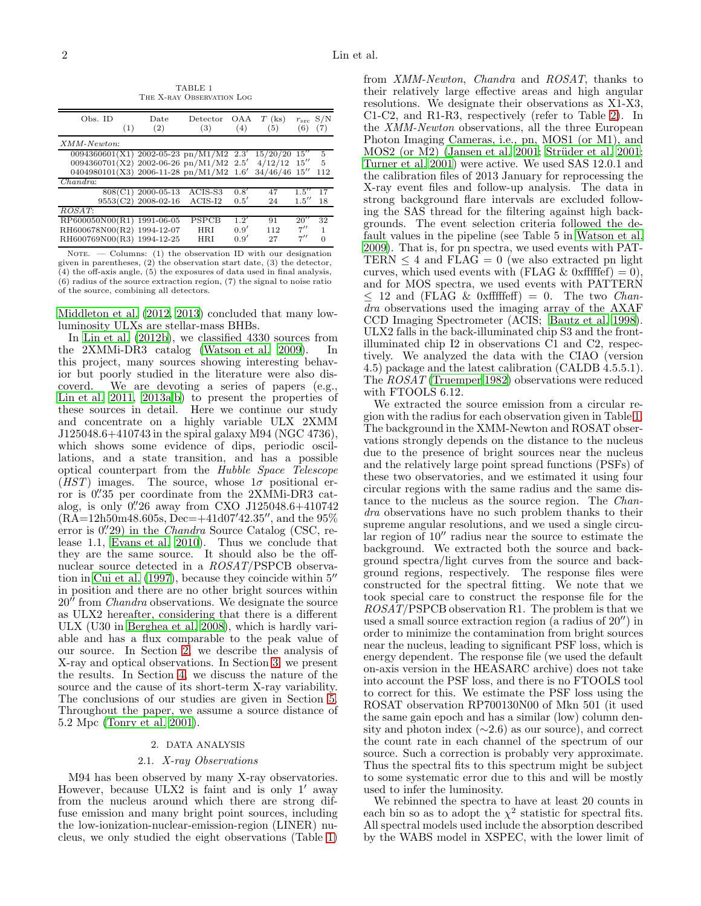<span id="page-1-1"></span>Obs. ID Date Detector OAA  $T$  (ks)  $r_{src}$  S/N (1) (2) (3) (4) (5) (6) (7)  $(2)$   $(3)$   $(4)$   $(5)$   $(6)$   $(7)$ XMM-Newton: 0094360601(X1) 2002-05-23 pn/M1/M2 2.3′  $\frac{15}{20}/20$   $\frac{15}{15}$  5<br>4/12/12 15'' 5 0094360701(X2) 2002-06-26 pn/M1/M2 2.5′  $\frac{4}{12}\begin{pmatrix} 12 & 15'' & 5 \\ 46 & 46 & 15'' & 112 \end{pmatrix}$ 0404980101(X3) 2006-11-28 pn/M1/M2 1.6′ 34/46/46 15′′ 112 Chandra: 808(C1) 2000-05-13 ACIS-S3 0.8'<br>553(C2) 2008-02-16 ACIS-I2 0.5'  $\begin{array}{cc} 47 & 1.5^{\prime\prime} & 17 \\ 24 & 1.5^{\prime\prime} & 18 \end{array}$ 9553(C2) 2008-02-16  $1.5''$ ROSAT: RP600050N00(R1) 1991-06-05 PSPCB 1.2<sup>7</sup><br>RH600678N00(R2) 1994-12-07 HRI 0.9<sup>7</sup>  $\begin{array}{ccc} 91 & 20'' & 32 \\ 112 & 7'' & 1 \end{array}$  $\begin{tabular}{lllllll} \bf RH600678N00(R2) & 1994-12-07 & \bf HRI & 0.9' \\ \bf RH600769N00(R3) & 1994-12-25 & \bf HRI & 0.9' \end{tabular}$  $\frac{112}{27}$   $\frac{7''}{7''}$   $\frac{1}{0}$  $RH600769N00(R3)$  1994-12-25  $7''$ 

TABLE 1 THE X-RAY OBSERVATION LOG

NOTE.  $\sim$  Columns: (1) the observation ID with our designation given in parentheses, (2) the observation start date, (3) the detector,  $(4)$  the off-axis angle,  $(5)$  the exposures of data used in final analysis, (6) radius of the source extraction region, (7) the signal to noise ratio of the source, combining all detectors.

[Middleton et al. \(2012,](#page-8-16) [2013](#page-8-17)) concluded that many lowluminosity ULXs are stellar-mass BHBs.

In [Lin et al. \(2012b\)](#page-8-18), we classified 4330 sources from the 2XMMi-DR3 catalog [\(Watson et al. 2009](#page-8-19)). In this project, many sources showing interesting behavior but poorly studied in the literature were also discoverd. We are devoting a series of papers (e.g., [Lin et al. 2011](#page-8-20), [2013a](#page-8-21)[,b\)](#page-8-22) to present the properties of these sources in detail. Here we continue our study and concentrate on a highly variable ULX 2XMM J125048.6+410743 in the spiral galaxy M94 (NGC 4736), which shows some evidence of dips, periodic oscillations, and a state transition, and has a possible optical counterpart from the Hubble Space Telescope  $(HST)$  images. The source, whose  $1\sigma$  positional error is  $0.^{\prime\prime}35$  per coordinate from the 2XMMi-DR3 catalog, is only 0.'26 away from CXO J125048.6+410742  $(R\widetilde{A}=12h50m48.605s, \widetilde{Dec}=+41d07'42.35''$ , and the 95% error is 0.'29) in the Chandra Source Catalog (CSC, release 1.1, [Evans et al. 2010\)](#page-8-23). Thus we conclude that they are the same source. It should also be the offnuclear source detected in a ROSAT/PSPCB observation in [Cui et al. \(1997](#page-8-24)), because they coincide within 5′′ in position and there are no other bright sources within 20′′ from Chandra observations. We designate the source as ULX2 hereafter, considering that there is a different ULX (U30 in [Berghea et al. 2008\)](#page-8-25), which is hardly variable and has a flux comparable to the peak value of our source. In Section [2,](#page-1-0) we describe the analysis of X-ray and optical observations. In Section [3,](#page-2-0) we present the results. In Section [4,](#page-5-0) we discuss the nature of the source and the cause of its short-term X-ray variability. The conclusions of our studies are given in Section [5.](#page-7-0) Throughout the paper, we assume a source distance of 5.2 Mpc [\(Tonry et al. 2001](#page-8-26)).

#### 2. DATA ANALYSIS

## 2.1. X-ray Observations

<span id="page-1-2"></span><span id="page-1-0"></span>M94 has been observed by many X-ray observatories. However, because ULX2 is faint and is only 1′ away from the nucleus around which there are strong diffuse emission and many bright point sources, including the low-ionization-nuclear-emission-region (LINER) nucleus, we only studied the eight observations (Table [1\)](#page-1-1)

from XMM-Newton, Chandra and ROSAT, thanks to their relatively large effective areas and high angular resolutions. We designate their observations as X1-X3, C1-C2, and R1-R3, respectively (refer to Table [2\)](#page-2-1). In the XMM-Newton observations, all the three European Photon Imaging Cameras, i.e., pn, MOS1 (or M1), and MOS2 (or M2) [\(Jansen et al. 2001;](#page-8-27) Strüder et al. 2001; [Turner et al. 2001\)](#page-8-29) were active. We used SAS 12.0.1 and the calibration files of 2013 January for reprocessing the X-ray event files and follow-up analysis. The data in strong background flare intervals are excluded following the SAS thread for the filtering against high backgrounds. The event selection criteria followed the default values in the pipeline (see Table 5 in [Watson et al.](#page-8-19) [2009\)](#page-8-19). That is, for pn spectra, we used events with PAT-TERN  $\leq$  4 and FLAG = 0 (we also extracted pn light curves, which used events with (FLAG & 0xfffffef) = 0). and for MOS spectra, we used events with PATTERN  $\leq$  12 and (FLAG & 0xfffffeff) = 0. The two *Chan*dra observations used the imaging array of the AXAF CCD Imaging Spectrometer (ACIS; [Bautz et al. 1998](#page-8-30)). ULX2 falls in the back-illuminated chip S3 and the frontilluminated chip I2 in observations C1 and C2, respectively. We analyzed the data with the CIAO (version 4.5) package and the latest calibration (CALDB 4.5.5.1). The ROSAT [\(Truemper 1982](#page-8-31)) observations were reduced with FTOOLS 6.12.

We extracted the source emission from a circular region with the radius for each observation given in Table [1.](#page-1-1) The background in the XMM-Newton and ROSAT observations strongly depends on the distance to the nucleus due to the presence of bright sources near the nucleus and the relatively large point spread functions (PSFs) of these two observatories, and we estimated it using four circular regions with the same radius and the same distance to the nucleus as the source region. The Chandra observations have no such problem thanks to their supreme angular resolutions, and we used a single circular region of 10′′ radius near the source to estimate the background. We extracted both the source and background spectra/light curves from the source and background regions, respectively. The response files were constructed for the spectral fitting. We note that we took special care to construct the response file for the ROSAT/PSPCB observation R1. The problem is that we used a small source extraction region (a radius of 20′′) in order to minimize the contamination from bright sources near the nucleus, leading to significant PSF loss, which is energy dependent. The response file (we used the default on-axis version in the HEASARC archive) does not take into account the PSF loss, and there is no FTOOLS tool to correct for this. We estimate the PSF loss using the ROSAT observation RP700130N00 of Mkn 501 (it used the same gain epoch and has a similar (low) column density and photon index  $(\sim 2.6)$  as our source), and correct the count rate in each channel of the spectrum of our source. Such a correction is probably very approximate. Thus the spectral fits to this spectrum might be subject to some systematic error due to this and will be mostly used to infer the luminosity.

We rebinned the spectra to have at least 20 counts in each bin so as to adopt the  $\chi^2$  statistic for spectral fits. All spectral models used include the absorption described by the WABS model in XSPEC, with the lower limit of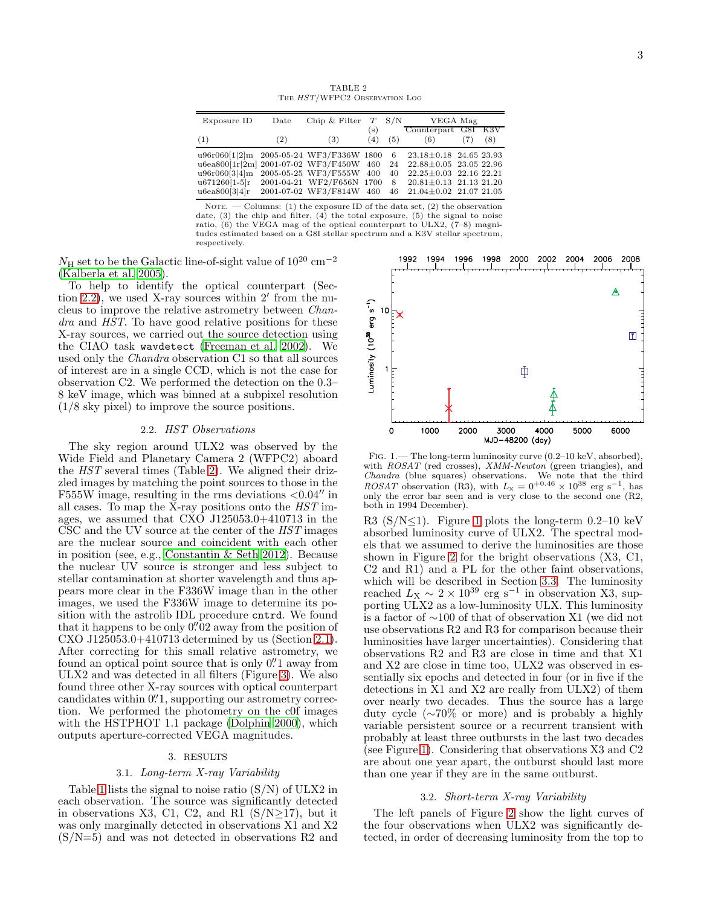TABLE 2 The HST/WFPC2 Observation Log

<span id="page-2-1"></span>

| Exposure ID                                                                                                                               | Date | Chip & Filter $T$ S/N                                                             |            |                        | VEGA Mag                                                                                                                                               |     |     |
|-------------------------------------------------------------------------------------------------------------------------------------------|------|-----------------------------------------------------------------------------------|------------|------------------------|--------------------------------------------------------------------------------------------------------------------------------------------------------|-----|-----|
| (1)                                                                                                                                       | (2)  | (3)                                                                               | (s)<br>(4) | (5)                    | Counterpart G8I K3V<br>(6)                                                                                                                             | (7) | (8) |
| u96r060[1 2]m 2005-05-24 WF3/F336W 1800 6<br>u6ea800[1r 2m] 2001-07-02 WF3/F450W 460<br>u96r060[3 4]m<br>$u671260[1-5]r$<br>u6ea800[3 4]r |      | 2005-05-25 WF3/F555W 400<br>2001-04-21 WF2/F656N 1700<br>2001-07-02 WF3/F814W 460 |            | -24<br>40<br>- 8<br>46 | $23.18 \pm 0.18$ 24.65 23.93<br>22.88±0.05 23.05 22.96<br>$22.25 \pm 0.03$ 22.16 22.21<br>$20.81 \pm 0.13$ 21.13 21.20<br>$21.04 \pm 0.02$ 21.07 21.05 |     |     |

NOTE.  $-$  Columns: (1) the exposure ID of the data set, (2) the observation date, (3) the chip and filter, (4) the total exposure, (5) the signal to noise ratio, (6) the VEGA mag of the optical counterpart to ULX2, (7–8) magnitudes estimated based on a G8I stellar spectrum and a K3V stellar spectrum, respectively.

 $N_{\rm H}$  set to be the Galactic line-of-sight value of  $10^{20}~{\rm cm}^{-2}$ [\(Kalberla et al. 2005\)](#page-8-32).

To help to identify the optical counterpart (Section [2.2\)](#page-2-2), we used X-ray sources within 2′ from the nucleus to improve the relative astrometry between Chandra and HST. To have good relative positions for these X-ray sources, we carried out the source detection using the CIAO task wavdetect [\(Freeman et al. 2002\)](#page-8-33). We used only the *Chandra* observation C1 so that all sources of interest are in a single CCD, which is not the case for observation C2. We performed the detection on the 0.3– 8 keV image, which was binned at a subpixel resolution (1/8 sky pixel) to improve the source positions.

### 2.2. HST Observations

<span id="page-2-2"></span>The sky region around ULX2 was observed by the Wide Field and Planetary Camera 2 (WFPC2) aboard the HST several times (Table [2\)](#page-2-1). We aligned their drizzled images by matching the point sources to those in the F555W image, resulting in the rms deviations  $\langle 0.04'' \rangle$  in all cases. To map the X-ray positions onto the HST images, we assumed that CXO J125053.0+410713 in the CSC and the UV source at the center of the HST images are the nuclear source and coincident with each other in position (see, e.g., [Constantin & Seth 2012](#page-8-34)). Because the nuclear UV source is stronger and less subject to stellar contamination at shorter wavelength and thus appears more clear in the F336W image than in the other images, we used the F336W image to determine its position with the astrolib IDL procedure cntrd. We found that it happens to be only  $0\rlap.{''}02$  away from the position of CXO J125053.0+410713 determined by us (Section [2.1\)](#page-1-2). After correcting for this small relative astrometry, we found an optical point source that is only  $0''$  away from ULX2 and was detected in all filters (Figure [3\)](#page-4-0). We also found three other X-ray sources with optical counterpart candidates within 0.'1, supporting our astrometry correction. We performed the photometry on the c0f images with the HSTPHOT 1.1 package [\(Dolphin 2000\)](#page-8-35), which outputs aperture-corrected VEGA magnitudes.

## 3. RESULTS

## 3.1. Long-term X-ray Variability

<span id="page-2-0"></span>Table [1](#page-1-1) lists the signal to noise ratio  $(S/N)$  of ULX2 in each observation. The source was significantly detected in observations X3, C1, C2, and R1  $(S/N\geq17)$ , but it was only marginally detected in observations X1 and X2 (S/N=5) and was not detected in observations R2 and



<span id="page-2-3"></span>Fig. 1.— The long-term luminosity curve (0.2–10 keV, absorbed), with  $ROSAT$  (red crosses),  $XMM-Newton$  (green triangles), and Chandra (blue squares) observations. We note that the third ROSAT observation (R3), with  $L_x = 0^{+0.46} \times 10^{38}$  erg s<sup>-1</sup>, has only the error bar seen and is very close to the second one (R2, both in 1994 December).

R3 (S/N $\leq$ 1). Figure [1](#page-2-3) plots the long-term 0.2–10 keV absorbed luminosity curve of ULX2. The spectral models that we assumed to derive the luminosities are those shown in Figure [2](#page-3-0) for the bright observations (X3, C1, C2 and R1) and a PL for the other faint observations, which will be described in Section [3.3.](#page-4-1) The luminosity reached  $L_X \sim 2 \times 10^{39}$  erg s<sup>-1</sup> in observation X3, supporting ULX2 as a low-luminosity ULX. This luminosity is a factor of ∼100 of that of observation X1 (we did not use observations R2 and R3 for comparison because their luminosities have larger uncertainties). Considering that observations R2 and R3 are close in time and that X1 and X2 are close in time too, ULX2 was observed in essentially six epochs and detected in four (or in five if the detections in X1 and X2 are really from ULX2) of them over nearly two decades. Thus the source has a large duty cycle (∼70% or more) and is probably a highly variable persistent source or a recurrent transient with probably at least three outbursts in the last two decades (see Figure [1\)](#page-2-3). Considering that observations X3 and C2 are about one year apart, the outburst should last more than one year if they are in the same outburst.

#### 3.2. Short-term X-ray Variability

The left panels of Figure [2](#page-3-0) show the light curves of the four observations when ULX2 was significantly detected, in order of decreasing luminosity from the top to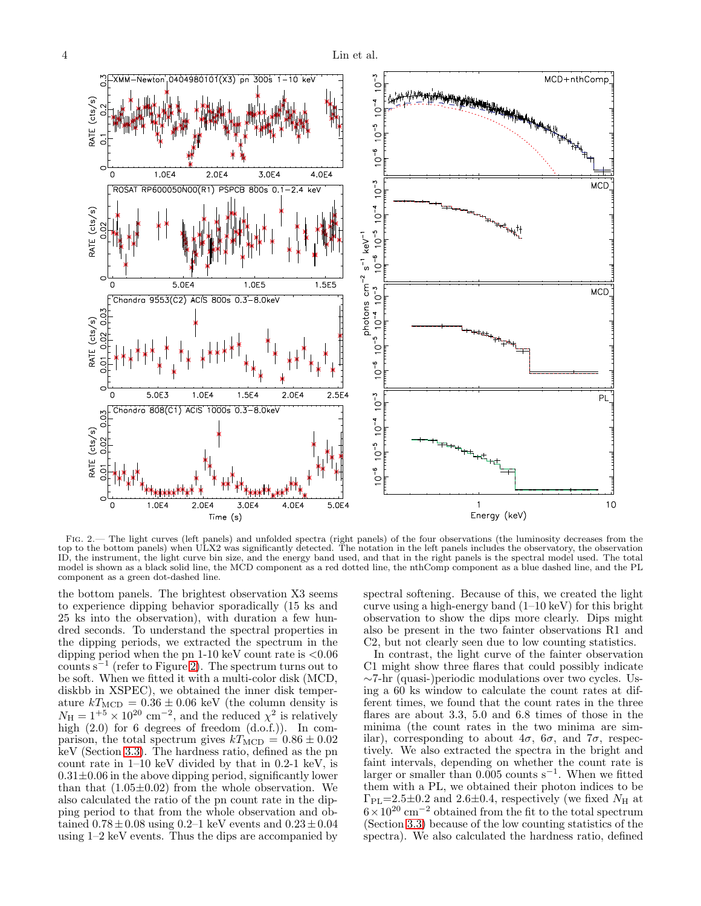

<span id="page-3-0"></span>Fig. 2.— The light curves (left panels) and unfolded spectra (right panels) of the four observations (the luminosity decreases from the top to the bottom panels) when ULX2 was significantly detected. The notation in the left panels includes the observatory, the observation ID, the instrument, the light curve bin size, and the energy band used, and that in the right panels is the spectral model used. The total model is shown as a black solid line, the MCD component as a red dotted line, the nthComp component as a blue dashed line, and the PL component as a green dot-dashed line.

the bottom panels. The brightest observation X3 seems to experience dipping behavior sporadically (15 ks and 25 ks into the observation), with duration a few hundred seconds. To understand the spectral properties in the dipping periods, we extracted the spectrum in the dipping period when the pn  $1-10 \text{ keV}$  count rate is  $\lt 0.06$  $\text{counts} \, \text{s}^{-1}$  (refer to Figure [2\)](#page-3-0). The spectrum turns out to be soft. When we fitted it with a multi-color disk (MCD, diskbb in XSPEC), we obtained the inner disk temperature  $kT_{\text{MCD}} = 0.36 \pm 0.06$  keV (the column density is  $N_{\rm H} = 1^{+5} \times 10^{20}$  cm<sup>-2</sup>, and the reduced  $\chi^2$  is relatively high (2.0) for 6 degrees of freedom (d.o.f.)). In comparison, the total spectrum gives  $kT_{\text{MCD}} = 0.86 \pm 0.02$ keV (Section [3.3\)](#page-4-1). The hardness ratio, defined as the pn count rate in  $1-10 \text{ keV}$  divided by that in 0.2-1 keV, is  $0.31\pm0.06$  in the above dipping period, significantly lower than that  $(1.05\pm0.02)$  from the whole observation. We also calculated the ratio of the pn count rate in the dipping period to that from the whole observation and obtained  $0.78 \pm 0.08$  using  $0.2-1$  keV events and  $0.23 \pm 0.04$ using 1–2 keV events. Thus the dips are accompanied by spectral softening. Because of this, we created the light curve using a high-energy band  $(1-10 \text{ keV})$  for this bright observation to show the dips more clearly. Dips might also be present in the two fainter observations R1 and C2, but not clearly seen due to low counting statistics.

In contrast, the light curve of the fainter observation C1 might show three flares that could possibly indicate ∼7-hr (quasi-)periodic modulations over two cycles. Using a 60 ks window to calculate the count rates at different times, we found that the count rates in the three flares are about 3.3, 5.0 and 6.8 times of those in the minima (the count rates in the two minima are similar), corresponding to about  $4\sigma$ ,  $6\sigma$ , and  $7\sigma$ , respectively. We also extracted the spectra in the bright and faint intervals, depending on whether the count rate is larger or smaller than 0.005 counts s<sup>−</sup><sup>1</sup> . When we fitted them with a PL, we obtained their photon indices to be  $\Gamma_{\rm PL}$ =2.5±0.2 and 2.6±0.4, respectively (we fixed  $N_{\rm H}$  at  $6\times10^{20}$  cm<sup>-2</sup> obtained from the fit to the total spectrum (Section [3.3\)](#page-4-1) because of the low counting statistics of the spectra). We also calculated the hardness ratio, defined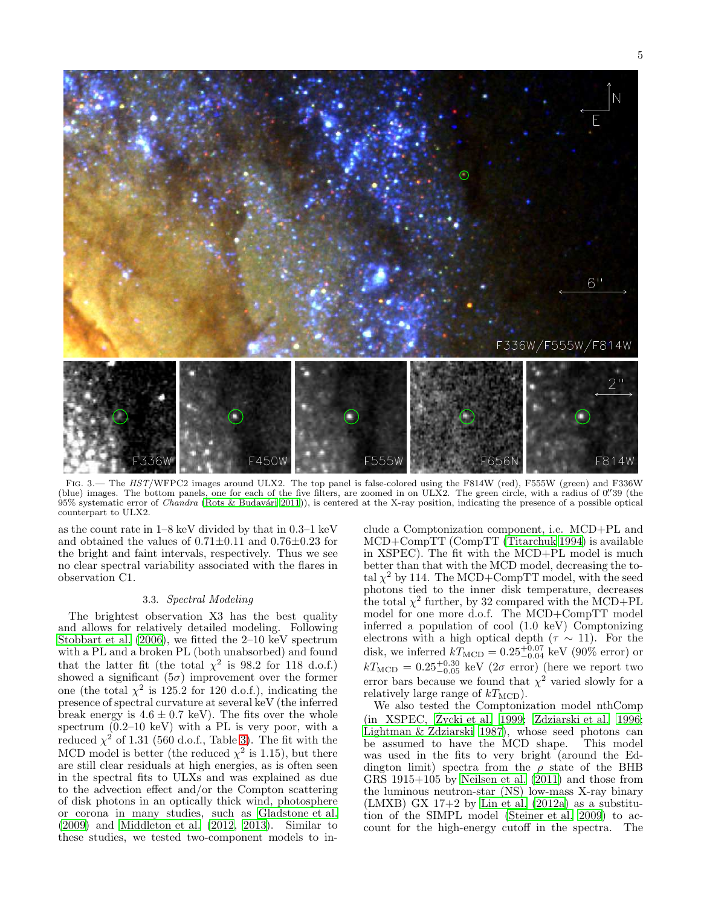

<span id="page-4-0"></span>FIG. 3.— The HST/WFPC2 images around ULX2. The top panel is false-colored using the F814W (red), F555W (green) and F336W (blue) images. The bottom panels, one for each of the five filters, are zoomed in on ULX2. The green circle, with a radius of 0. 39 (the  $95\%$  systematic error of *Chandra* (Rots & Budavári 2011)), is centered at the X-ray position, indicating the presence of a possible optical counterpart to ULX2.

as the count rate in 1–8 keV divided by that in 0.3–1 keV and obtained the values of  $0.71 \pm 0.11$  and  $0.76 \pm 0.23$  for the bright and faint intervals, respectively. Thus we see no clear spectral variability associated with the flares in observation C1.

# 3.3. Spectral Modeling

<span id="page-4-1"></span>The brightest observation X3 has the best quality and allows for relatively detailed modeling. Following [Stobbart et al. \(2006\)](#page-8-37), we fitted the 2–10 keV spectrum with a PL and a broken PL (both unabsorbed) and found that the latter fit (the total  $\chi^2$  is 98.2 for 118 d.o.f.) showed a significant  $(5\sigma)$  improvement over the former one (the total  $\chi^2$  is 125.2 for 120 d.o.f.), indicating the presence of spectral curvature at several keV (the inferred break energy is  $4.6 \pm 0.7$  keV). The fits over the whole spectrum (0.2–10 keV) with a PL is very poor, with a reduced  $\chi^2$  of 1.31 (560 d.o.f., Table [3\)](#page-5-1). The fit with the MCD model is better (the reduced  $\chi^2$  is 1.15), but there are still clear residuals at high energies, as is often seen in the spectral fits to ULXs and was explained as due to the advection effect and/or the Compton scattering of disk photons in an optically thick wind, photosphere or corona in many studies, such as [Gladstone et al.](#page-8-38) [\(2009\)](#page-8-38) and [Middleton et al. \(2012,](#page-8-16) [2013\)](#page-8-17). Similar to these studies, we tested two-component models to in-

clude a Comptonization component, i.e. MCD+PL and MCD+CompTT (CompTT [\(Titarchuk 1994\)](#page-8-39) is available in XSPEC). The fit with the MCD+PL model is much better than that with the MCD model, decreasing the total  $\chi^2$  by 114. The MCD+CompTT model, with the seed photons tied to the inner disk temperature, decreases the total  $\chi^2$  further, by 32 compared with the MCD+PL model for one more d.o.f. The MCD+CompTT model inferred a population of cool (1.0 keV) Comptonizing electrons with a high optical depth  $(τ ~ 11)$ . For the disk, we inferred  $kT_{\text{MCD}} = 0.25_{-0.04}^{+0.07} \text{ keV}$  (90% error) or  $kT_{\rm MCD} = 0.25^{+0.30}_{-0.05}~{\rm keV}$  (2 $\sigma$  error) (here we report two error bars because we found that  $\chi^2$  varied slowly for a relatively large range of  $kT_{\text{MCD}}$ .

We also tested the Comptonization model nthComp (in XSPEC, Życki et al. 1999; [Zdziarski et al. 1996](#page-8-41); [Lightman & Zdziarski 1987\)](#page-8-42), whose seed photons can be assumed to have the MCD shape. This model was used in the fits to very bright (around the Eddington limit) spectra from the  $\rho$  state of the BHB GRS  $1915+105$  by Neilsen et al.  $(2011)$  and those from the luminous neutron-star (NS) low-mass X-ray binary  $(LMXB)$  GX 17+2 by Lin et al.  $(2012a)$  as a substitution of the SIMPL model [\(Steiner et al. 2009\)](#page-8-45) to account for the high-energy cutoff in the spectra. The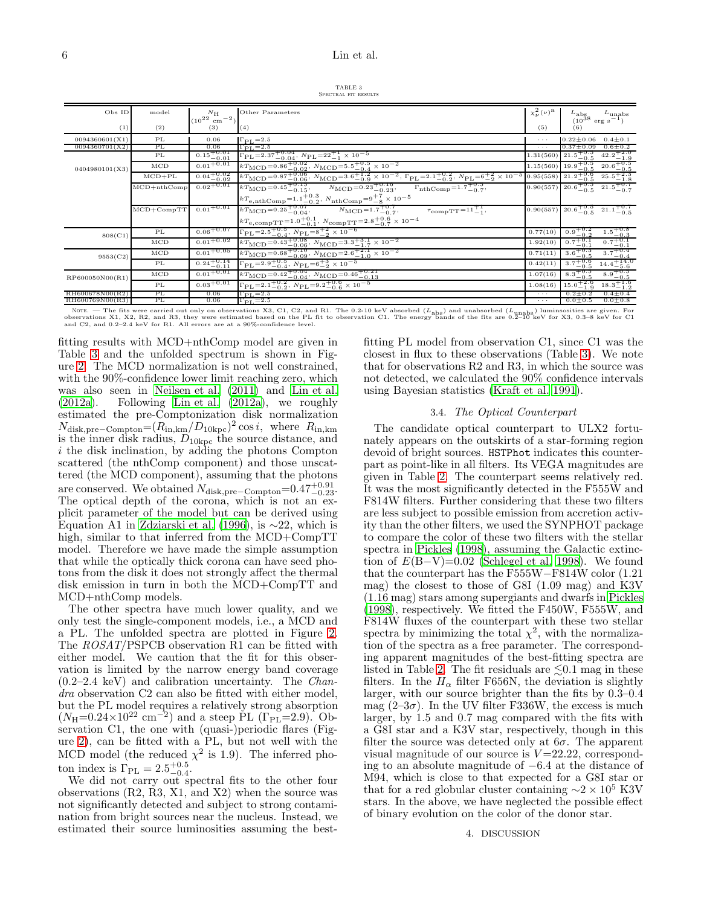TABLE 3 SPECTRAL FIT RESULTS

<span id="page-5-1"></span>

| Obs ID          | model           | $N_{\rm H}$<br>$(10^{22} \text{ cm}^{-2})$          | Other Parameters                                                                                                                                                                                                                                                                                                                   | $\chi^2_{\nu}(\nu)^{\rm a}$ | $\begin{array}{c} L_{\rm abs} & L_{\rm unabs} \\ (10^{38} {\rm~erg~s}^{-1}) \end{array}$                                                                                                                    |
|-----------------|-----------------|-----------------------------------------------------|------------------------------------------------------------------------------------------------------------------------------------------------------------------------------------------------------------------------------------------------------------------------------------------------------------------------------------|-----------------------------|-------------------------------------------------------------------------------------------------------------------------------------------------------------------------------------------------------------|
| (1)             | (2)             | (3)                                                 | (4)                                                                                                                                                                                                                                                                                                                                | (5)                         | (6)                                                                                                                                                                                                         |
| 0094360601(X1)  | PL              | 0.06                                                | $\Gamma_{\rm PL}\!=\!2.5$                                                                                                                                                                                                                                                                                                          | $\cdots$                    | $0.22 \pm 0.06$<br>$0.4 \pm 0.1$                                                                                                                                                                            |
| 0094360701(X2)  | PL              | 0.06                                                | $\Gamma_{\rm PL} = 2.5$                                                                                                                                                                                                                                                                                                            | $\sim$ $\sim$ $\sim$        | $0.6 \pm 0.2$<br>$0.37 \pm 0.09$                                                                                                                                                                            |
| 0404980101(X3)  | PL              | $0.15^{+0.01}_{-0.01}$                              | $\Gamma_{\rm PL} = 2.37^{+0.04}_{-0.04}$ , $N_{\rm PL} = 22^{+1}_{-1} \times 10^{-5}$                                                                                                                                                                                                                                              | 1.31(560)                   | $21.5^{+0.5}_{-0.5}$<br>$42.2^{+2.0}_{-1.9}$                                                                                                                                                                |
|                 | $_{\rm MCD}$    | $0.01 + 0.01$                                       | $\begin{array}{l} \hbox{$kT_{\rm MCD}$=0.86$^{+0.02}_{-0.02}$, $N_{\rm MCD}$=5.5$^{+0.5}_{-0.12}$ $\times$10$^{-2}$}\\ \hline \hbox{$kT_{\rm MCD}$=0.87$^{+0.06}_{-0.06}$, $N_{\rm MCD}$=3.6$^{+1.2}_{-0.9}$ $\times$10$^{-2}$, $ \Gamma_{\rm PL}$=2.1$^{+0.2}_{-0.2}$, $N_{\rm PL}$=6$^{+2}_{-2}$ $\times$10$^{-5}$} \end{array}$ |                             | $\frac{20.6_{-0.5}^{+0.5}}{25.5_{-1.8}^{+2.3}}$<br>$\begin{array}{r l} 1.15(560) & 19.9 & -0.5 \\ \hline 0.95(558) & 21.2 & -0.5 \\ \hline 0.90(557) & 20.6 & -0.5 \\ \hline \end{array}$                   |
|                 | $MCD + PL$      | $0.04_{-0.02}^{+0.02}$                              |                                                                                                                                                                                                                                                                                                                                    |                             |                                                                                                                                                                                                             |
|                 | $MCD + nthComp$ | $0.02 + 0.01$                                       | $kT_{\rm MCD} = 0.45 + 0.15,$<br>$N_{\rm MCD} = 0.23_{-0.23}^{+0.16}$<br>$\Gamma_{\rm nthComp} = 1.7^{+0.5}_{-0.7}$                                                                                                                                                                                                                |                             | $21.5^{+0.7}_{-0.7}$                                                                                                                                                                                        |
|                 |                 |                                                     | $kT_{\rm e, nthComp}\!=\!1.1^{+0.3}_{-0.2},\,N_{\rm nthComp}\!=\!9^{+7}_{-8}\times10^{-5}$                                                                                                                                                                                                                                         |                             |                                                                                                                                                                                                             |
|                 | $MCD + CompTT$  | $0.01 + 0.01$                                       | $kT_{\rm MCD} = 0.25 + 0.07$ ,<br>$N_{\text{MCD}} = 1.7_{-0.7}^{+0.7}$<br>$\tau_{\text{compTT}} = 11^{+1}_{-1}$                                                                                                                                                                                                                    | 0.90(557)                   | $20.6^{+0.5}_{-0.5}$<br>$21.1^{+0.7}_{-0.5}$                                                                                                                                                                |
|                 |                 |                                                     | $kT_{\rm e,compTT}{=}1.0^{+0.1}_{-0.1},\,N_{\rm compTT}{=}2.8^{+0.6}_{-0.7}\times10^{-4}$                                                                                                                                                                                                                                          |                             |                                                                                                                                                                                                             |
| 808(C1)         | PL              | $0.06 + 0.07$                                       | $\Gamma_{\rm PL} = 2.5 \frac{+0.5}{-0.4}, N_{\rm PL} = 8 \frac{+2}{-2} \times 10^{-6}$                                                                                                                                                                                                                                             | 0.77(10)                    | $1.5^{+0.8}_{-0.3}$<br>$0.9^{+0.2}_{-0.2}$                                                                                                                                                                  |
|                 | $_{\rm MCD}$    | $0.01 + 0.02$                                       | $kT_{\rm MCD} = 0.43^{+0.08}_{-0.06}$ , $N_{\rm MCD} = 3.3^{+3.1}_{-1.7} \times 10^{-2}$                                                                                                                                                                                                                                           | 1.92(10)                    | $0.7^{+0.1}_{-0.1}$                                                                                                                                                                                         |
| 9553(C2)        | $_{\rm MCD}$    | $0.01^{+0.05}$                                      | $kT_{\rm MCD} = 0.68 \frac{+0.10}{-0.09}$ , $N_{\rm MCD} = 2.6 \frac{+2.1}{-1.0} \times 10^{-2}$                                                                                                                                                                                                                                   | 0.71(11)                    | $3.6^{+0.3}_{-0.5}$                                                                                                                                                                                         |
|                 | PL              | $\frac{0.24_{-0.11}^{+0.14}}{0.01_{-0.01}^{+0.01}}$ | $\Gamma_{\rm PL} {=} 2.9^{+0.5}_{-0.4},\ N_{\rm PL} {=} 6^{+3}_{-2} \times 10^{-5}$                                                                                                                                                                                                                                                | 0.42(11)                    | $3.7^{+0.6}_{-0.5}$                                                                                                                                                                                         |
| RP600050N00(R1) | $_{\rm MCD}$    |                                                     | $kT_{\rm MCD} = 0.42_{-0.04}^{+0.04}$ , $N_{\rm MCD} = 0.46_{-0.13}^{+0.21}$                                                                                                                                                                                                                                                       | 1.07(16)                    | $8.3^{+0.5}_{-0.5}$                                                                                                                                                                                         |
|                 | PL              | $0.03 + 0.01$                                       | $\Gamma_{\rm PL} = 2.1^{+0.2}_{-0.2}, N_{\rm PL} = 9.2^{+0.6}_{-0.6} \times 10^{-5}$                                                                                                                                                                                                                                               | 1.08(16)                    | $\begin{array}{r} -7.01 \\ -0.1 \\ \hline 3.7 + 0.4 \\ \hline 14.4 + 14.0 \\ \hline 14.4 - 5.6 \\ \hline 8.9 + 0.5 \\ \hline 18.3 + 1.0 \\ \hline 13.4 - 1.2 \\ \hline \end{array}$<br>$15.0^{+2.6}_{-1.9}$ |
| RH600678N00(R2) | PL              | 0.06                                                | $\Gamma_{\rm PL}$ = 2.5                                                                                                                                                                                                                                                                                                            | $\cdots$                    | $0.4 \pm 0.4$<br>$0.2 \pm 0.2$                                                                                                                                                                              |
| RH600769N00(R3) | PL              | 0.06                                                | $\Gamma_{\rm PL} = 2.5$                                                                                                                                                                                                                                                                                                            | $\cdots$                    | $0.0 \pm 0.8$<br>$0.0 \pm 0.5$                                                                                                                                                                              |

Nore. — The fits were carried out only on observations X3, C1, C2, and R1. The 0.2-10 keV absorbed ( $L_{\text{abs}}$ ) and unabsorbed ( $L_{\text{unabs}}$ ) luminsosities are given. For the conservations X3, C1, C2, and R1. The 0.2-10 keV

fitting results with MCD+nthComp model are given in Table [3](#page-5-1) and the unfolded spectrum is shown in Figure [2.](#page-3-0) The MCD normalization is not well constrained, with the 90%-confidence lower limit reaching zero, which was also seen in [Neilsen et al. \(2011\)](#page-8-43) and [Lin et al.](#page-8-44)  $(2012a)$ . Following Lin et al.  $(2012a)$ , we roughly estimated the pre-Comptonization disk normalization  $N_{\text{disk,pre-Compton}} = (R_{\text{in,km}}/D_{10\text{kpc}})^2 \cos i$ , where  $R_{\text{in,km}}$ is the inner disk radius,  $D_{10\text{kpc}}$  the source distance, and i the disk inclination, by adding the photons Compton scattered (the nthComp component) and those unscattered (the MCD component), assuming that the photons are conserved. We obtained  $N_{\text{disk,pre}-\text{Compton}}=0.47_{-0.23}^{+0.91}$ . The optical depth of the corona, which is not an explicit parameter of the model but can be derived using Equation A1 in [Zdziarski et al. \(1996\)](#page-8-41), is ∼22, which is high, similar to that inferred from the MCD+CompTT model. Therefore we have made the simple assumption that while the optically thick corona can have seed photons from the disk it does not strongly affect the thermal disk emission in turn in both the MCD+CompTT and MCD+nthComp models.

The other spectra have much lower quality, and we only test the single-component models, i.e., a MCD and a PL. The unfolded spectra are plotted in Figure [2.](#page-3-0) The ROSAT/PSPCB observation R1 can be fitted with either model. We caution that the fit for this observation is limited by the narrow energy band coverage  $(0.2-2.4 \text{ keV})$  and calibration uncertainty. The *Chan*dra observation C2 can also be fitted with either model, but the PL model requires a relatively strong absorption  $(N_{\rm H}=0.24\times10^{22}~\rm cm^{-2})$  and a steep PL ( $\Gamma_{\rm PL}=2.9$ ). Observation C1, the one with (quasi-)periodic flares (Figure [2\)](#page-3-0), can be fitted with a PL, but not well with the MCD model (the reduced  $\chi^2$  is 1.9). The inferred photon index is  $\Gamma_{PL} = 2.5^{+0.5}_{-0.4}$ .

<span id="page-5-0"></span>We did not carry out spectral fits to the other four observations (R2, R3, X1, and X2) when the source was not significantly detected and subject to strong contamination from bright sources near the nucleus. Instead, we estimated their source luminosities assuming the bestfitting PL model from observation C1, since C1 was the closest in flux to these observations (Table [3\)](#page-5-1). We note that for observations R2 and R3, in which the source was not detected, we calculated the 90% confidence intervals using Bayesian statistics [\(Kraft et al. 1991](#page-8-46)).

### 3.4. The Optical Counterpart

The candidate optical counterpart to ULX2 fortunately appears on the outskirts of a star-forming region devoid of bright sources. HSTPhot indicates this counterpart as point-like in all filters. Its VEGA magnitudes are given in Table [2.](#page-2-1) The counterpart seems relatively red. It was the most significantly detected in the F555W and F814W filters. Further considering that these two filters are less subject to possible emission from accretion activity than the other filters, we used the SYNPHOT package to compare the color of these two filters with the stellar spectra in [Pickles \(1998\)](#page-8-47), assuming the Galactic extinction of  $E(B-V)=0.02$  [\(Schlegel et al. 1998](#page-8-48)). We found that the counterpart has the F555W−F814W color (1.21 mag) the closest to those of G8I (1.09 mag) and K3V (1.16 mag) stars among supergiants and dwarfs in [Pickles](#page-8-47) [\(1998\)](#page-8-47), respectively. We fitted the F450W, F555W, and F814W fluxes of the counterpart with these two stellar spectra by minimizing the total  $\chi^2$ , with the normalization of the spectra as a free parameter. The corresponding apparent magnitudes of the best-fitting spectra are listed in Table [2.](#page-2-1) The fit residuals are  $\lesssim 0.1$  mag in these filters. In the  $H_{\alpha}$  filter F656N, the deviation is slightly larger, with our source brighter than the fits by 0.3–0.4 mag  $(2-3\sigma)$ . In the UV filter F336W, the excess is much larger, by 1.5 and 0.7 mag compared with the fits with a G8I star and a K3V star, respectively, though in this filter the source was detected only at  $6\sigma$ . The apparent visual magnitude of our source is  $V=22.22$ , corresponding to an absolute magnitude of −6.4 at the distance of M94, which is close to that expected for a G8I star or that for a red globular cluster containing  $\sim$ 2 × 10<sup>5</sup> K3V stars. In the above, we have neglected the possible effect of binary evolution on the color of the donor star.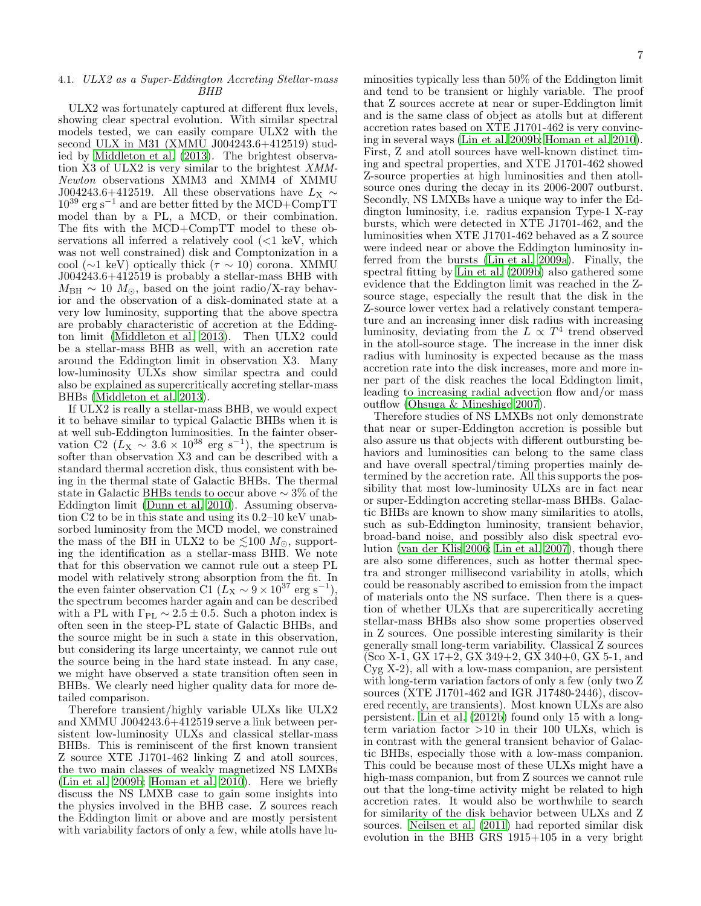## 4.1. ULX2 as a Super-Eddington Accreting Stellar-mass BHB

ULX2 was fortunately captured at different flux levels, showing clear spectral evolution. With similar spectral models tested, we can easily compare ULX2 with the second ULX in M31 (XMMU J004243.6+412519) studied by [Middleton et al. \(2013\)](#page-8-17). The brightest observation X3 of ULX2 is very similar to the brightest XMM-Newton observations XMM3 and XMM4 of XMMU J004243.6+412519. All these observations have  $L_X \sim$  $10^{39}$  erg s<sup>-1</sup> and are better fitted by the MCD+CompTT model than by a PL, a MCD, or their combination. The fits with the MCD+CompTT model to these observations all inferred a relatively cool  $\ll 1$  keV, which was not well constrained) disk and Comptonization in a cool (∼1 keV) optically thick ( $\tau \sim 10$ ) corona. XMMU J004243.6+412519 is probably a stellar-mass BHB with  $M_{\text{BH}} \sim 10$   $M_{\odot}$ , based on the joint radio/X-ray behavior and the observation of a disk-dominated state at a very low luminosity, supporting that the above spectra are probably characteristic of accretion at the Eddington limit [\(Middleton et al. 2013\)](#page-8-17). Then ULX2 could be a stellar-mass BHB as well, with an accretion rate around the Eddington limit in observation X3. Many low-luminosity ULXs show similar spectra and could also be explained as supercritically accreting stellar-mass BHBs [\(Middleton et al. 2013\)](#page-8-17).

If ULX2 is really a stellar-mass BHB, we would expect it to behave similar to typical Galactic BHBs when it is at well sub-Eddington luminosities. In the fainter observation C2 ( $L_X \sim 3.6 \times 10^{38}$  erg s<sup>-1</sup>), the spectrum is softer than observation X3 and can be described with a standard thermal accretion disk, thus consistent with being in the thermal state of Galactic BHBs. The thermal state in Galactic BHBs tends to occur above ∼ 3% of the Eddington limit [\(Dunn et al. 2010](#page-8-49)). Assuming observation C2 to be in this state and using its 0.2–10 keV unabsorbed luminosity from the MCD model, we constrained the mass of the BH in ULX2 to be  $\leq 100$   $M_{\odot}$ , supporting the identification as a stellar-mass BHB. We note that for this observation we cannot rule out a steep PL model with relatively strong absorption from the fit. In the even fainter observation C1 ( $L_{\rm X} \sim 9 \times 10^{37}$  erg s<sup>-1</sup>), the spectrum becomes harder again and can be described with a PL with  $\Gamma_{\text{PL}} \sim 2.5 \pm 0.5$ . Such a photon index is often seen in the steep-PL state of Galactic BHBs, and the source might be in such a state in this observation, but considering its large uncertainty, we cannot rule out the source being in the hard state instead. In any case, we might have observed a state transition often seen in BHBs. We clearly need higher quality data for more detailed comparison.

Therefore transient/highly variable ULXs like ULX2 and XMMU J004243.6+412519 serve a link between persistent low-luminosity ULXs and classical stellar-mass BHBs. This is reminiscent of the first known transient Z source XTE J1701-462 linking Z and atoll sources, the two main classes of weakly magnetized NS LMXBs [\(Lin et al. 2009b;](#page-8-50) [Homan et al. 2010\)](#page-8-51). Here we briefly discuss the NS LMXB case to gain some insights into the physics involved in the BHB case. Z sources reach the Eddington limit or above and are mostly persistent with variability factors of only a few, while atolls have luminosities typically less than 50% of the Eddington limit and tend to be transient or highly variable. The proof that Z sources accrete at near or super-Eddington limit and is the same class of object as atolls but at different accretion rates based on XTE J1701-462 is very convincing in several ways [\(Lin et al. 2009b;](#page-8-50) [Homan et al. 2010](#page-8-51)). First, Z and atoll sources have well-known distinct timing and spectral properties, and XTE J1701-462 showed Z-source properties at high luminosities and then atollsource ones during the decay in its 2006-2007 outburst. Secondly, NS LMXBs have a unique way to infer the Eddington luminosity, i.e. radius expansion Type-1 X-ray bursts, which were detected in XTE J1701-462, and the luminosities when XTE J1701-462 behaved as a Z source were indeed near or above the Eddington luminosity inferred from the bursts [\(Lin et al. 2009a\)](#page-8-52). Finally, the spectral fitting by [Lin et al. \(2009b\)](#page-8-50) also gathered some evidence that the Eddington limit was reached in the Zsource stage, especially the result that the disk in the Z-source lower vertex had a relatively constant temperature and an increasing inner disk radius with increasing luminosity, deviating from the  $L \propto T^4$  trend observed in the atoll-source stage. The increase in the inner disk radius with luminosity is expected because as the mass accretion rate into the disk increases, more and more inner part of the disk reaches the local Eddington limit, leading to increasing radial advection flow and/or mass outflow [\(Ohsuga & Mineshige 2007\)](#page-8-53).

Therefore studies of NS LMXBs not only demonstrate that near or super-Eddington accretion is possible but also assure us that objects with different outbursting behaviors and luminosities can belong to the same class and have overall spectral/timing properties mainly determined by the accretion rate. All this supports the possibility that most low-luminosity ULXs are in fact near or super-Eddington accreting stellar-mass BHBs. Galactic BHBs are known to show many similarities to atolls, such as sub-Eddington luminosity, transient behavior, broad-band noise, and possibly also disk spectral evolution [\(van der Klis 2006;](#page-8-54) [Lin et al. 2007\)](#page-8-55), though there are also some differences, such as hotter thermal spectra and stronger millisecond variability in atolls, which could be reasonably ascribed to emission from the impact of materials onto the NS surface. Then there is a question of whether ULXs that are supercritically accreting stellar-mass BHBs also show some properties observed in Z sources. One possible interesting similarity is their generally small long-term variability. Classical Z sources (Sco X-1, GX 17+2, GX 349+2, GX 340+0, GX 5-1, and Cyg X-2), all with a low-mass companion, are persistent with long-term variation factors of only a few (only two Z sources (XTE J1701-462 and IGR J17480-2446), discovered recently, are transients). Most known ULXs are also persistent. [Lin et al. \(2012b\)](#page-8-18) found only 15 with a longterm variation factor  $>10$  in their 100 ULXs, which is in contrast with the general transient behavior of Galactic BHBs, especially those with a low-mass companion. This could be because most of these ULXs might have a high-mass companion, but from Z sources we cannot rule out that the long-time activity might be related to high accretion rates. It would also be worthwhile to search for similarity of the disk behavior between ULXs and Z sources. [Neilsen et al. \(2011\)](#page-8-43) had reported similar disk evolution in the BHB GRS 1915+105 in a very bright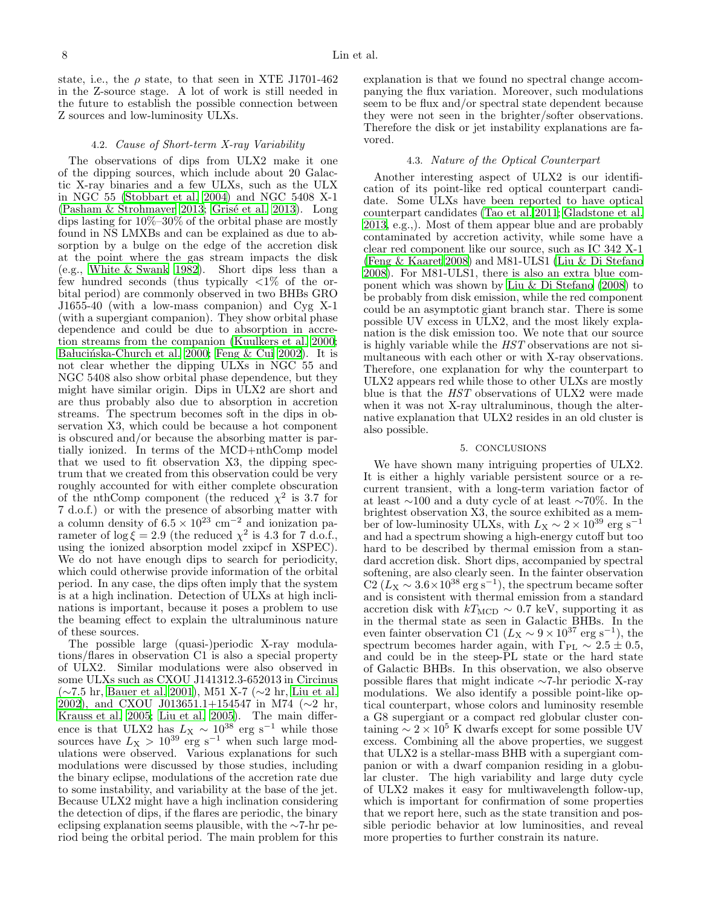state, i.e., the  $\rho$  state, to that seen in XTE J1701-462 in the Z-source stage. A lot of work is still needed in the future to establish the possible connection between Z sources and low-luminosity ULXs.

## 4.2. Cause of Short-term X-ray Variability

The observations of dips from ULX2 make it one of the dipping sources, which include about 20 Galactic X-ray binaries and a few ULXs, such as the ULX in NGC 55 [\(Stobbart et al. 2004\)](#page-8-56) and NGC 5408 X-1  $(Pasham \& Strohmaver 2013; Gris {\'e} et al. 2013).$  Long dips lasting for 10%–30% of the orbital phase are mostly found in NS LMXBs and can be explained as due to absorption by a bulge on the edge of the accretion disk at the point where the gas stream impacts the disk (e.g., [White & Swank 1982](#page-8-59)). Short dips less than a few hundred seconds (thus typically  $\langle 1 \rangle$  of the orbital period) are commonly observed in two BHBs GRO J1655-40 (with a low-mass companion) and Cyg X-1 (with a supergiant companion). They show orbital phase dependence and could be due to absorption in accretion streams from the companion [\(Kuulkers et al. 2000;](#page-8-60) Bałucińska-Church et al. 2000; [Feng & Cui 2002\)](#page-8-62). It is not clear whether the dipping ULXs in NGC 55 and NGC 5408 also show orbital phase dependence, but they might have similar origin. Dips in ULX2 are short and are thus probably also due to absorption in accretion streams. The spectrum becomes soft in the dips in observation X3, which could be because a hot component is obscured and/or because the absorbing matter is partially ionized. In terms of the MCD+nthComp model that we used to fit observation X3, the dipping spectrum that we created from this observation could be very roughly accounted for with either complete obscuration of the nthComp component (the reduced  $\chi^2$  is 3.7 for 7 d.o.f.) or with the presence of absorbing matter with a column density of  $6.5 \times 10^{23}$  cm<sup>-2</sup> and ionization parameter of  $\log \xi = 2.9$  (the reduced  $\chi^2$  is 4.3 for 7 d.o.f., using the ionized absorption model zxipcf in XSPEC). We do not have enough dips to search for periodicity, which could otherwise provide information of the orbital period. In any case, the dips often imply that the system is at a high inclination. Detection of ULXs at high inclinations is important, because it poses a problem to use the beaming effect to explain the ultraluminous nature of these sources.

The possible large (quasi-)periodic X-ray modulations/flares in observation C1 is also a special property of ULX2. Similar modulations were also observed in some ULXs such as CXOU J141312.3-652013 in Circinus (∼7.5 hr, [Bauer et al. 2001\)](#page-8-63), M51 X-7 (∼2 hr, [Liu et al.](#page-8-64) [2002\)](#page-8-64), and CXOU J013651.1+154547 in M74 (∼2 hr, [Krauss et al. 2005;](#page-8-65) [Liu et al. 2005](#page-8-66)). The main difference is that ULX2 has  $L_X \sim 10^{38}$  erg s<sup>-1</sup> while those sources have  $L_X > 10^{39}$  erg s<sup>-1</sup> when such large modulations were observed. Various explanations for such modulations were discussed by those studies, including the binary eclipse, modulations of the accretion rate due to some instability, and variability at the base of the jet. Because ULX2 might have a high inclination considering the detection of dips, if the flares are periodic, the binary eclipsing explanation seems plausible, with the ∼7-hr period being the orbital period. The main problem for this

explanation is that we found no spectral change accompanying the flux variation. Moreover, such modulations seem to be flux and/or spectral state dependent because they were not seen in the brighter/softer observations. Therefore the disk or jet instability explanations are favored.

## 4.3. Nature of the Optical Counterpart

Another interesting aspect of ULX2 is our identification of its point-like red optical counterpart candidate. Some ULXs have been reported to have optical counterpart candidates [\(Tao et al. 2011;](#page-8-67) [Gladstone et al.](#page-8-68) [2013,](#page-8-68) e.g.,). Most of them appear blue and are probably contaminated by accretion activity, while some have a clear red component like our source, such as IC 342 X-1 [\(Feng & Kaaret 2008\)](#page-8-69) and M81-ULS1 [\(Liu & Di Stefano](#page-8-70) [2008\)](#page-8-70). For M81-ULS1, there is also an extra blue component which was shown by [Liu & Di Stefano \(2008\)](#page-8-70) to be probably from disk emission, while the red component could be an asymptotic giant branch star. There is some possible UV excess in ULX2, and the most likely explanation is the disk emission too. We note that our source is highly variable while the HST observations are not simultaneous with each other or with X-ray observations. Therefore, one explanation for why the counterpart to ULX2 appears red while those to other ULXs are mostly blue is that the HST observations of ULX2 were made when it was not X-ray ultraluminous, though the alternative explanation that ULX2 resides in an old cluster is also possible.

## 5. CONCLUSIONS

<span id="page-7-0"></span>We have shown many intriguing properties of ULX2. It is either a highly variable persistent source or a recurrent transient, with a long-term variation factor of at least ∼100 and a duty cycle of at least ∼70%. In the brightest observation X3, the source exhibited as a member of low-luminosity ULXs, with  $L_{\rm X} \sim 2 \times 10^{39}$  erg  $\rm s^{-1}$ and had a spectrum showing a high-energy cutoff but too hard to be described by thermal emission from a standard accretion disk. Short dips, accompanied by spectral softening, are also clearly seen. In the fainter observation  $C2 (L_X \sim 3.6 \times 10^{38} \text{ erg s}^{-1})$ , the spectrum became softer and is consistent with thermal emission from a standard accretion disk with  $kT_{\text{MCD}} \sim 0.7 \text{ keV}$ , supporting it as in the thermal state as seen in Galactic BHBs. In the even fainter observation C1 ( $L_X \sim 9 \times 10^{37}$  erg s<sup>-1</sup>), the spectrum becomes harder again, with  $\Gamma_{\rm PL} \sim 2.5 \pm 0.5$ , and could be in the steep-PL state or the hard state of Galactic BHBs. In this observation, we also observe possible flares that might indicate ∼7-hr periodic X-ray modulations. We also identify a possible point-like optical counterpart, whose colors and luminosity resemble a G8 supergiant or a compact red globular cluster containing  $\sim 2 \times 10^5$  K dwarfs except for some possible UV excess. Combining all the above properties, we suggest that ULX2 is a stellar-mass BHB with a supergiant companion or with a dwarf companion residing in a globular cluster. The high variability and large duty cycle of ULX2 makes it easy for multiwavelength follow-up, which is important for confirmation of some properties that we report here, such as the state transition and possible periodic behavior at low luminosities, and reveal more properties to further constrain its nature.